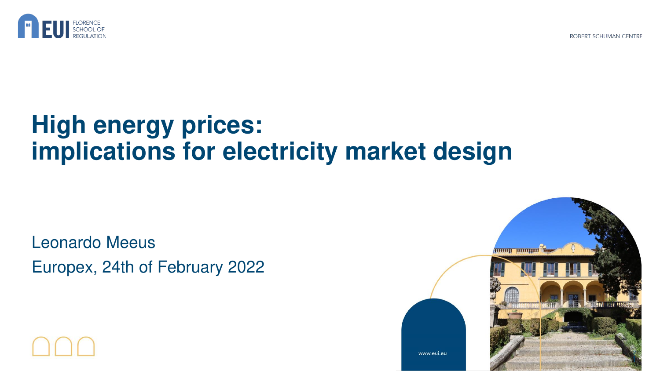

ROBERT SCHUMAN CENTRE

## **High energy prices: implications for electricity market design**

Leonardo Meeus Europex, 24th of February 2022

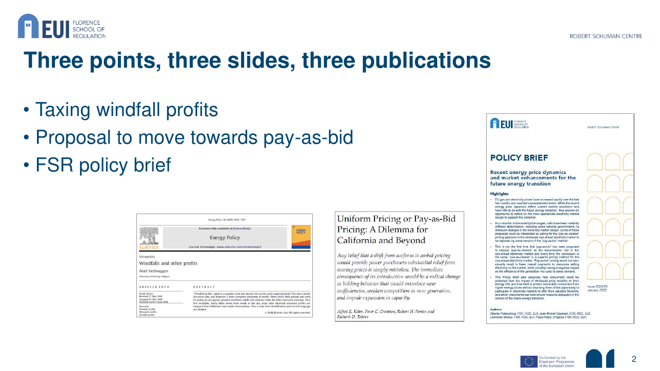

### **Three points, three slides, three publications**

- Taxing windfall profits
- Proposal to move towards pay-as-bid
- FSR policy brief

|                                                                                                   | Contents lists available at ScienceDirect                                                                                                                                                                                                                                                                                                                                                                                              | <b>ENERGY</b><br><b>POLICY</b> |
|---------------------------------------------------------------------------------------------------|----------------------------------------------------------------------------------------------------------------------------------------------------------------------------------------------------------------------------------------------------------------------------------------------------------------------------------------------------------------------------------------------------------------------------------------|--------------------------------|
|                                                                                                   | <b>Energy Policy</b>                                                                                                                                                                                                                                                                                                                                                                                                                   |                                |
| EVIER                                                                                             | journal homepage: www.elsevier.com/locate/enpol                                                                                                                                                                                                                                                                                                                                                                                        |                                |
|                                                                                                   |                                                                                                                                                                                                                                                                                                                                                                                                                                        |                                |
|                                                                                                   |                                                                                                                                                                                                                                                                                                                                                                                                                                        |                                |
|                                                                                                   |                                                                                                                                                                                                                                                                                                                                                                                                                                        |                                |
| Windfalls and other profits<br>Aviel Verbruggen<br>University of Antwerp, Belgium<br>ARTICLE INFO | ABSTRACT                                                                                                                                                                                                                                                                                                                                                                                                                               |                                |
| Article history:<br>Received 27 May 2008<br>Accepted 27 May 2008<br>Available online 3 July 2008  | "Windfall profits" again is a popular term, but mostly the term is used inappropriately. This short article<br>discusses why, and proposes a more complete taxonomy of profits. There exists little ground and need<br>for policy to act against genuine windfalls, while the contrary holds for other excessive earnings. Very<br>few windfalls, freely fallen down from winds in the sky, occur after observed excessive profits are |                                |

### Uniform Pricing or Pay-as-Bid Pricing: A Dilemma for California and Beyond

Any belief that a shift from uniform to as-bid pricing would provide power purchasers substantial relief from soaring prices is simply mistaken. The immediate consequence of its introduction would be a radical change in bidding behavior that would introduce new inefficiencies, weaken competition in new generation, and impede expansion in capacity.

Alfred E. Kahn, Peter C. Cramton, Robert H. Porter, and Richard D. Tabors



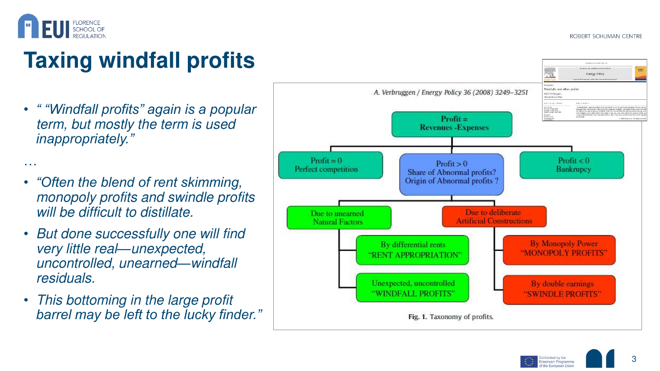

## **Taxing windfall profits**

- *" "Windfall profits" again is a popular*  term, but mostly the term is used *inappropriately."*
- …• *"Often the blend of rent skimming,*  monopoly profits and swindle profits will be difficult to distillate.
- But done successfully one will find very little real*—*unexpected, uncontrolled, unearned*—*windfall residuals.
- This bottoming in the large profit *barrel may be left to the lucky finder."*



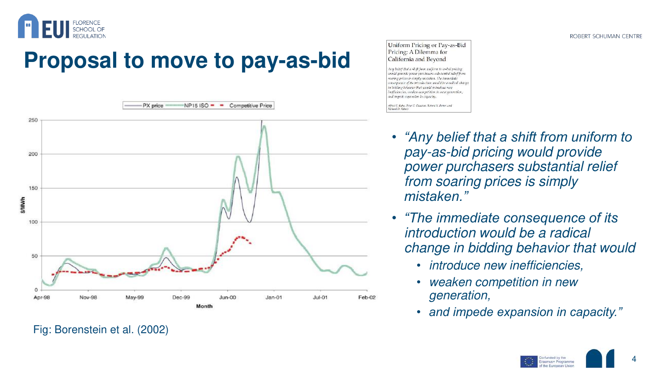

## **Proposal to move to pay-as-bid**



#### Uniform Pricing or Pay-as-Bid Pricing: A Dilemma for California and Beyond

Any belief that a shift from uniform to as-bid pricing would provide power purchasers substantial relief from oaring prices is simply mistaken. The immediate onsequence of its introduction would be a radical change in biolding behavior that would introduce newnefficiencies, weaken competition in new generation, and impede expansion in capacity.

Alfred E. Kahn, Peter C. Cranton, Robert H. Porter, and hard D. Tabors

- *"Any belief that a shift from uniform to*  pay-as-bid pricing would provide power purchasers substantial relief from soaring prices is simply *mistaken."*
- *"The immediate consequence of its*  introduction would be a radical change in bidding behavior that would
	- introduce new inefficiencies,
	- weaken competition in new generation,
	- *and impede expansion in capacity."*

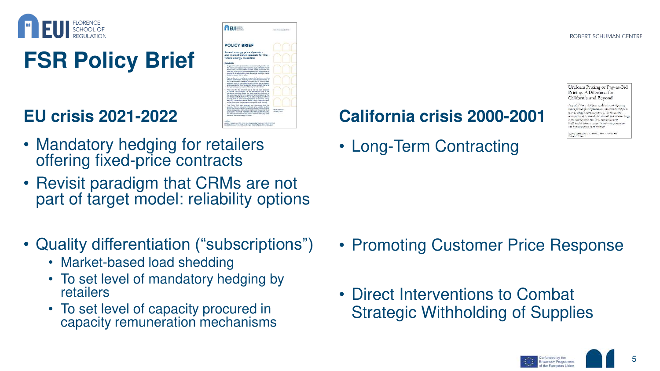

# **FSR Policy Brief**

### **EU crisis 2021-2022**

- **A** EUI **POLICY BRIEF** Recent energy price dynamics<br>and market enhancements for the
- Mandatory hedging for retailers offering fixed-price contracts
- Revisit paradigm that CRMs are not part of target model: reliability options
- Quality differentiation ("subscriptions")
	- Market-based load shedding
	- To set level of mandatory hedging by retailers
	- To set level of capacity procured in capacity remuneration mechanisms

### **California crisis 2000-2001**

• Long-Term Contracting

Uniform Pricing or Pay-as-Bid Pricing: A Dilemma for California and Bevond

o belos' thou a shift force uniform to as hid petern. onid provide power anotherwas substanted relief for error crices is simply adstaken. The immediat ence al de introducion madá he a capita bidding behavior fint would introduce ratin afficiencies, weaken competition in aese generatur of impede expansion in capacity.

- Promoting Customer Price Response
- Direct Interventions to Combat Strategic Withholding of Supplies